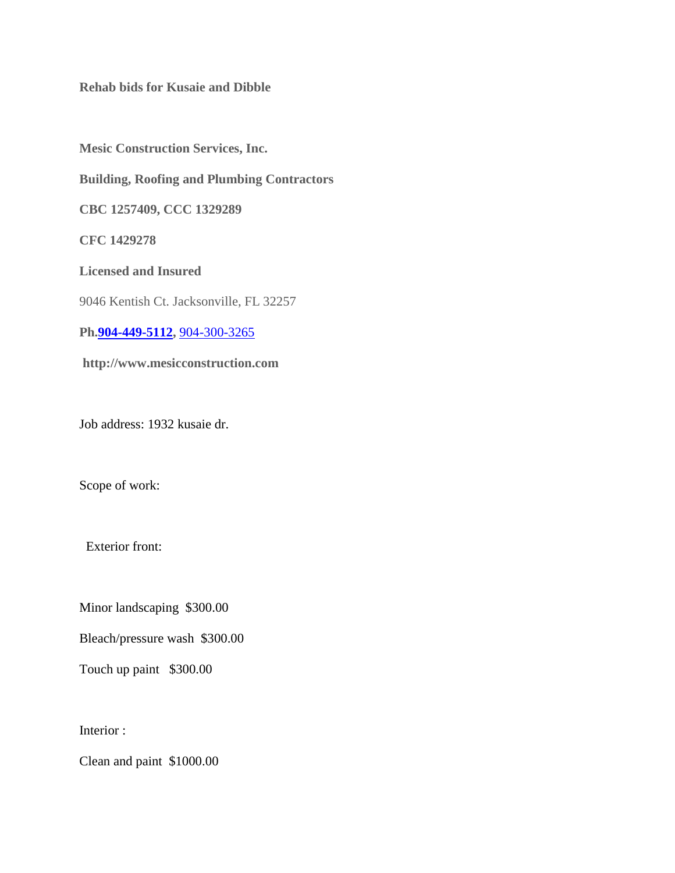**Rehab bids for Kusaie and Dibble**

**Mesic Construction Services, Inc. Building, Roofing and Plumbing Contractors CBC 1257409, CCC 1329289 CFC 1429278 Licensed and Insured** 9046 Kentish Ct. Jacksonville, FL 32257 **Ph[.904-449-5112,](tel:904-449-5112)** [904-300-3265](tel:904-300-3265) **[http://www.mesicconstruction.com](http://www.mesicconstruction.com/)**

Job address: 1932 kusaie dr.

Scope of work:

Exterior front:

Minor landscaping \$300.00

Bleach/pressure wash \$300.00

Touch up paint \$300.00

Interior :

Clean and paint \$1000.00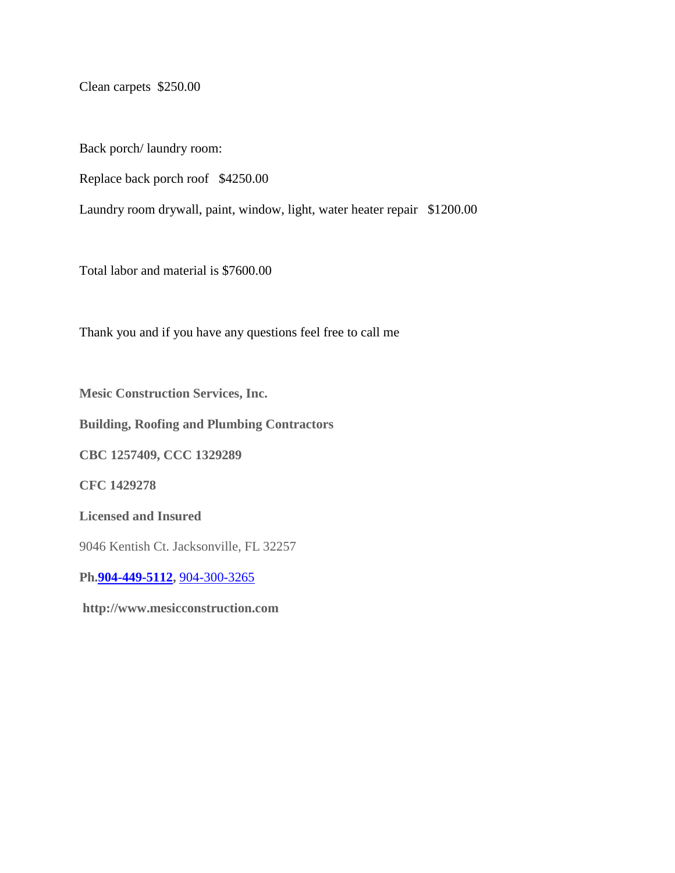Clean carpets \$250.00

Back porch/ laundry room:

Replace back porch roof \$4250.00

Laundry room drywall, paint, window, light, water heater repair \$1200.00

Total labor and material is \$7600.00

Thank you and if you have any questions feel free to call me

**Mesic Construction Services, Inc.**

**Building, Roofing and Plumbing Contractors**

**CBC 1257409, CCC 1329289**

**CFC 1429278**

**Licensed and Insured**

9046 Kentish Ct. Jacksonville, FL 32257

**Ph[.904-449-5112,](tel:904-449-5112)** [904-300-3265](tel:904-300-3265)

**[http://www.mesicconstruction.com](http://www.mesicconstruction.com/)**